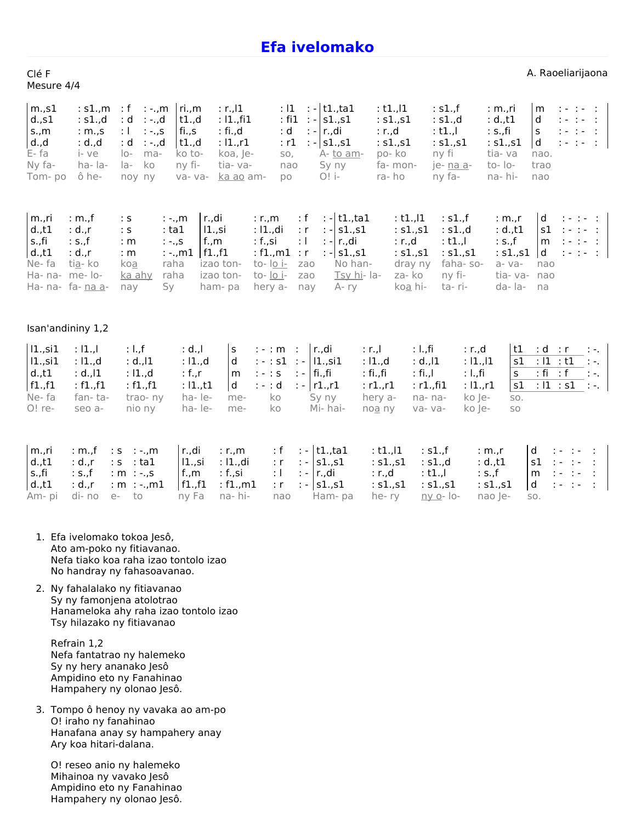## **Efa [ivelomako](http://solfa.finday.org/efa-ivelomako)**

| Clé F      |  |
|------------|--|
| Mesure 4/4 |  |

A. Raoeliarijaona

| m.s1<br>d.,s1<br>s.,m<br>d. d<br>E-fa<br>Ny fa-<br>Tom-po                                                              | : s1., m<br>: s1., d<br>: m.s<br>: d. d.<br>i- ve<br>ha-la-<br>ô he- | $\therefore$ f<br>$: -, m$<br>: d<br>: -.,d<br>$: -.5$<br>$\pm 1$<br>: d<br>∶ -.,d<br>$ O -$<br>ma-<br>ko<br>la-<br>noy ny | ri.,m<br>t1.,d<br>fi.,s<br>t1.,d<br>ko to-<br>ny fi-<br>va- va-   | $: r.$ , $ 1$<br>: 11., 11<br>: fi.,d<br>: $11.,r1$<br>koa, Je-<br>tia-va-<br>ka ao am-                                       | : 11<br>$:$ fi1<br>: d<br>: r1<br>SO,<br>nao<br><b>DO</b> | $\therefore$ t1.,ta1<br>$: - s1.,s1$<br>$: - r_{\cdot},$ di<br>$: - s1.,s1$<br>A- to am-<br>Sy ny<br>$O!$ i- | : t1.11<br>: s1., s1<br>: r.d<br>: s1., s1<br>po-ko<br>fa- mon-<br>ra-ho                      | : s1., f<br>: s1., d<br>$:$ t1., $\vdash$<br>: s1., s1<br>ny fi<br>je- na a-<br>ny fa-                      | $: m_{\cdot}$ ri<br>: d., t1<br>: S., fi<br>: $s1.,s1$<br>tia-va<br>to- $\overline{10}$ -<br>na-hi- | m<br>d<br>$\sf S$<br>$\mathsf{d}$<br>nao.<br>trao<br>nao | $1 - 1 - 1$<br>$1 - 1 - 1$<br>$1 - 1 - 1$<br>$1 - 1 - 1$                   |                                                                                                                                   |
|------------------------------------------------------------------------------------------------------------------------|----------------------------------------------------------------------|----------------------------------------------------------------------------------------------------------------------------|-------------------------------------------------------------------|-------------------------------------------------------------------------------------------------------------------------------|-----------------------------------------------------------|--------------------------------------------------------------------------------------------------------------|-----------------------------------------------------------------------------------------------|-------------------------------------------------------------------------------------------------------------|-----------------------------------------------------------------------------------------------------|----------------------------------------------------------|----------------------------------------------------------------------------|-----------------------------------------------------------------------------------------------------------------------------------|
| m.,ri<br>$d_{\cdot}$ ,t1<br>s.,fi<br>$d$ ., $t1$<br>Ne-fa<br>Ha- na- me- lo-<br>Ha- na- fa- na a-<br>Isan'andininy 1,2 | : m.f<br>: d.,r<br>: s.,f<br>$: d_{\cdot}$ , r<br>ti <u>a</u> - ko   | $\therefore$ S<br>$:$ tal<br>: ${\sf s}$<br>: m<br>$:-.5$<br>: m<br>koa<br>raha<br>ka ahy<br>raha<br>Sy<br>nay             | r.,di<br>$: -.$ m<br>$11.,$ si<br>f.,m<br>$: -.$ , m1<br>f1.,f1   | : $r_{\cdot},m$<br>: I1.,di<br>: f.,si<br>: $f1.,m1$<br>to- lo i-<br>izao ton-<br>izao ton-<br>to- lo i-<br>ham-pa<br>hery a- | : f<br>: r<br>$\pm$ 1<br>$\cdot$ r<br>zao<br>zao<br>nay   | $: - t1., ta1$<br>$: - s1.,s1$<br>: - r.,di<br>$: - s1.,s1$<br>No han-<br>Tsy hi-la-<br>$A - ry$             | : $t1$ ., $ 1 $<br>: $s1.,s1$<br>: r.d<br>: $s1.,s1$<br>dray ny<br>za-ko<br>koa hi-           | : s1., f<br>: s1., d<br>: t1.,I<br>: s1., s1<br>faha-so-<br>ny fi-<br>ta-ri-                                | : $m_{\cdot}$ , r<br>$: d_{\cdot}, t1$<br>: s.f<br>: s1., s1<br>a-va-<br>tia-va-<br>da-la-          | d<br>s1<br>m<br>d<br>nao<br>nao<br>na                    | $1 - 1 - 1$<br>$1 - 1 - 1$<br>$1 - 1 - 1$<br>$1 - 1 - 1$                   |                                                                                                                                   |
| $ 1.,$ si1<br>$ 1.,$ si1<br>d.,t1<br>f1.,f1<br>Ne-fa<br>O! re-                                                         | : 11.<br>: 11.7d<br>: $d$ ., $ 1$<br>: $f1.,f1$<br>fan-ta-<br>seo a- | : 1.f<br>$: d.$ , $ 1$<br>: 11., d<br>: $f1.,f1$<br>trao-ny<br>nio ny                                                      | : d. , I<br>: I1.,d<br>: f., $r$<br>: 11., t1<br>ha-le-<br>ha-le- | $\mathsf{s}$<br>$: - : m :$<br>d<br>$: - : S$<br>m<br>$: - : d$<br>d<br>ko<br>me-<br>ko<br>me-                                | : $-$ : s1 : -   11., si1<br>$\therefore$ fi.,fi          | r.,di<br>$: -  r1.,r1$<br>Sy ny<br>Mi-hai-                                                                   | : I.,fi<br>$: r_{\cdot}$<br>: 11., d<br>: fi.,fi<br>: fi.,I<br>: r1., r1<br>hery a-<br>noa ny | : r.d<br>: d.,l1<br>: 11, 11<br>: I.,fi<br>: r1., f11<br>: $11.71$<br>ko Je-<br>na-na-<br>ko Je-<br>va- va- | t1<br>s1<br>$\mathsf{S}$<br>s1<br>SO.<br>SO                                                         | : d<br>: 11 : t1<br>$:fi$ : $f$<br>: $ 1 $ : s1          | $\therefore$ r                                                             | $\mathcal{L}(\mathcal{A})$<br>$\mathcal{L}=\mathcal{L}$ .<br>$\mathcal{L}(\mathcal{A}_\mathcal{A})$<br>$\mathcal{L}(\mathcal{A})$ |
| m.,ri<br>$d_{.,t1}$<br>s.,fi<br>$d_{\cdot}$ ,t1<br>Am- pi                                                              | : m.f<br>: d.,r<br>: S.f<br>$: d_{\cdot}$ r<br>di- no<br>$e-$        | $: S : -., m$<br>$:s$ : tal<br>: $m : -., s$<br>: $m : -., m1$<br>to                                                       | r.,di<br>$ 1.,$ si<br>$f_{\cdot},m$<br>f1.,f1<br>ny Fa            | $: r_{\cdot}, m$<br>: I1.,di<br>: f., si<br>: $f1.,m1$<br>na-hi-                                                              | : f<br>: r<br>: L<br>: r<br>nao                           | $: - t1., ta1$<br>$: - s1.,s1$<br>$: - \mid r_{\cdot},$ di<br>$: - s1.,s1$<br>Ham-pa                         | : $t1$ ., $ 1$<br>: s1., s1<br>$: r.$ ,d<br>: $s1.,s1$<br>he-ry                               | : s1., f<br>: s1., d<br>$:$ t1.,<br>: $s1.,s1$<br><u>ny o</u> - lo-                                         | : $m_{\cdot}$ , r<br>: d., t1<br>: S.f<br>: $s1.,s1$<br>nao Je-                                     | d<br>s1<br>m<br>d<br>SO.                                 | $1 - 1 -$<br>$\mathcal{L} = \{ \mathcal{L} \}$ .<br>$1 - 1 -$<br>$1 - 1 -$ | $\cdot$ :<br>$\mathbb{R}^2$<br>$\sim$<br>÷                                                                                        |

- 1. Efa ivelomako tokoa Jesô, Ato am-poko ny fitiavanao. Nefa tiako koa raha izao tontolo izao No handray ny fahasoavanao.
- 2. Ny fahalalako ny fitiavanao Sy ny famonjena atolotrao Hanameloka ahy raha izao tontolo izao Tsy hilazako ny fitiavanao

Refrain 1,2 Nefa fantatrao ny halemeko Sy ny hery ananako Jesô Ampidino eto ny Fanahinao Hampahery ny olonao Jesô.

3. Tompo ô henoy ny vavaka ao am-po O! iraho ny fanahinao Hanafana anay sy hampahery anay Ary koa hitari-dalana.

O! reseo anio ny halemeko Mihainoa ny vavako Jesô Ampidino eto ny Fanahinao Hampahery ny olonao Jesô.